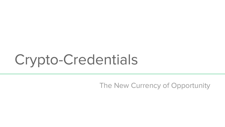# Crypto-Credentials

The New Currency of Opportunity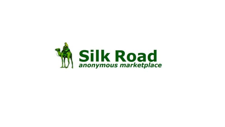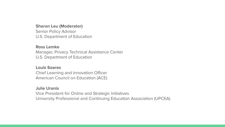#### **Sharon Leu (Moderator)**

Senior Policy Advisor U.S. Department of Education

#### **Ross Lemke**

Manager, Privacy Technical Assistance Center U.S. Department of Education

#### **Louis Soares**

Chief Learning and Innovation Officer American Council on Education (ACE)

#### **Julie Uranis**

Vice President for Online and Strategic Initiatives University Professional and Continuing Education Association (UPCEA)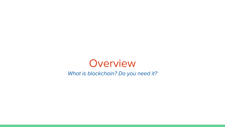

What is blockchain? Do you need it?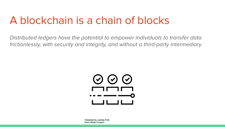### A blockchain is a chain of blocks

Distributed ledgers have the potential to empower individuals to transfer data frictionlessly, with security and integrity, and without a third-party intermediary



**Created by James Fok** from Noun Project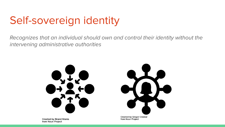### Self-sovereign identity

Recognizes that an individual should own and control their identity without the intervening administrative authorities



**Created by Gregor Cresnar** from Noun Project

Created by Brand Mania from Noun Project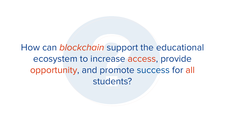How can blockchain support the educational ecosystem to increase access, provide opportunity, and promote success for all students?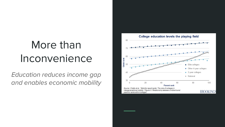### More than Inconvenience

Education reduces income gap and enables economic mobility

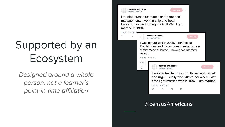## Supported by an Ecosystem

Designed around a whole person, not a learner's point-in-time affiliation

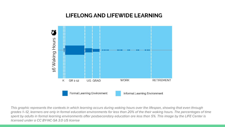#### LIFELONG AND LIFEWIDE LEARNING



This graphic represents the contexts in which learning occurs during waking hours over the lifespan, showing that even through grades 1–12, learners are only in formal education environments for less than 20% of the their waking hours. The percentages of time spent by adults in formal learning environments after postsecondary education are less than 5%. This image by the LIFE Center is licensed under a CC BY-NC-SA 3.0 US license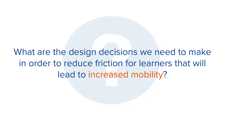What are the design decisions we need to make in order to reduce friction for learners that will lead to increased mobility?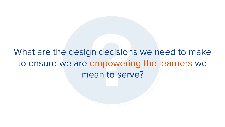### What are the design decisions we need to make to ensure we are empowering the learners we mean to serve?